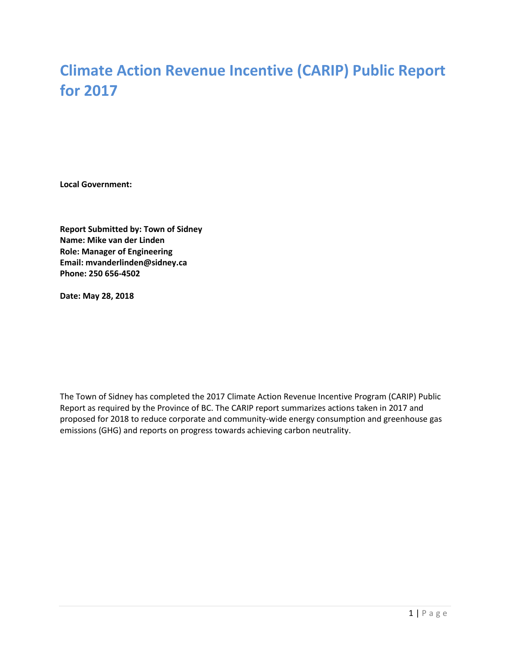# **Climate Action Revenue Incentive (CARIP) Public Report for 2017**

**Local Government:**

**Report Submitted by: Town of Sidney Name: Mike van der Linden Role: Manager of Engineering Email: mvanderlinden@sidney.ca Phone: 250 656-4502**

**Date: May 28, 2018**

The Town of Sidney has completed the 2017 Climate Action Revenue Incentive Program (CARIP) Public Report as required by the Province of BC. The CARIP report summarizes actions taken in 2017 and proposed for 2018 to reduce corporate and community-wide energy consumption and greenhouse gas emissions (GHG) and reports on progress towards achieving carbon neutrality.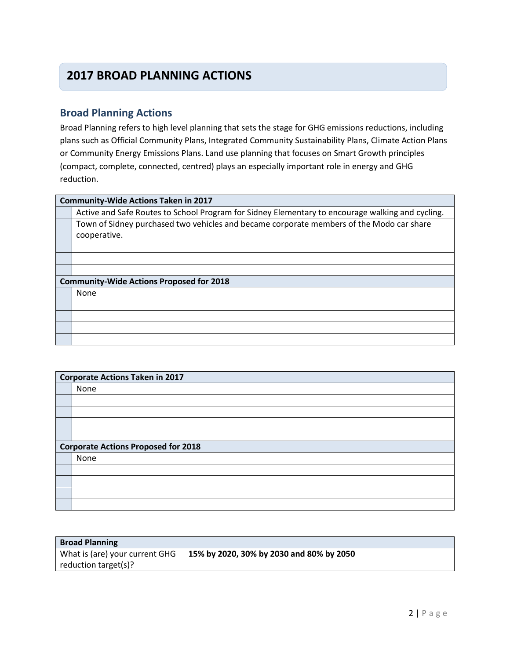## **2017 BROAD PLANNING ACTIONS**

### **Broad Planning Actions**

Broad Planning refers to high level planning that sets the stage for GHG emissions reductions, including plans such as Official Community Plans, Integrated Community Sustainability Plans, Climate Action Plans or Community Energy Emissions Plans. Land use planning that focuses on Smart Growth principles (compact, complete, connected, centred) plays an especially important role in energy and GHG reduction.

#### **Community-Wide Actions Taken in 2017**

Active and Safe Routes to School Program for Sidney Elementary to encourage walking and cycling. Town of Sidney purchased two vehicles and became corporate members of the Modo car share cooperative.

| <b>Community-Wide Actions Proposed for 2018</b> |  |
|-------------------------------------------------|--|
| None                                            |  |
|                                                 |  |
|                                                 |  |
|                                                 |  |
|                                                 |  |

| Corporate Actions Taken in 2017            |  |
|--------------------------------------------|--|
| None                                       |  |
|                                            |  |
|                                            |  |
|                                            |  |
|                                            |  |
| <b>Corporate Actions Proposed for 2018</b> |  |
| None                                       |  |
|                                            |  |
|                                            |  |
|                                            |  |
|                                            |  |

| <b>Broad Planning</b>          |                                          |
|--------------------------------|------------------------------------------|
| What is (are) your current GHG | 15% by 2020, 30% by 2030 and 80% by 2050 |
| reduction target(s)?           |                                          |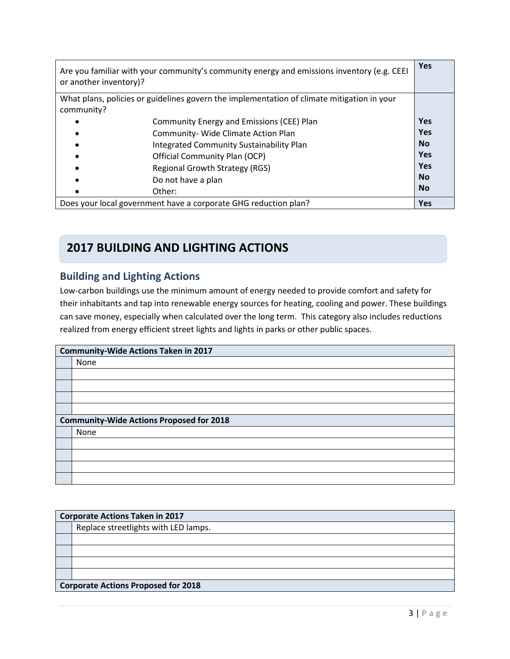| Are you familiar with your community's community energy and emissions inventory (e.g. CEEI<br>or another inventory)? |            |
|----------------------------------------------------------------------------------------------------------------------|------------|
| What plans, policies or guidelines govern the implementation of climate mitigation in your                           |            |
| community?                                                                                                           |            |
| Community Energy and Emissions (CEE) Plan                                                                            | <b>Yes</b> |
| Community- Wide Climate Action Plan                                                                                  | <b>Yes</b> |
| Integrated Community Sustainability Plan                                                                             | <b>No</b>  |
| Official Community Plan (OCP)                                                                                        | <b>Yes</b> |
| Regional Growth Strategy (RGS)                                                                                       | <b>Yes</b> |
| Do not have a plan                                                                                                   | <b>No</b>  |
| Other:                                                                                                               | <b>No</b>  |
| Does your local government have a corporate GHG reduction plan?                                                      |            |

## **2017 BUILDING AND LIGHTING ACTIONS**

## **Building and Lighting Actions**

Low-carbon buildings use the minimum amount of energy needed to provide comfort and safety for their inhabitants and tap into renewable energy sources for heating, cooling and power. These buildings can save money, especially when calculated over the long term. This category also includes reductions realized from energy efficient street lights and lights in parks or other public spaces.

| <b>Community-Wide Actions Taken in 2017</b>     |  |
|-------------------------------------------------|--|
| None                                            |  |
|                                                 |  |
|                                                 |  |
|                                                 |  |
|                                                 |  |
| <b>Community-Wide Actions Proposed for 2018</b> |  |
| None                                            |  |
|                                                 |  |
|                                                 |  |
|                                                 |  |
|                                                 |  |

|                                            | <b>Corporate Actions Taken in 2017</b> |  |
|--------------------------------------------|----------------------------------------|--|
|                                            | Replace streetlights with LED lamps.   |  |
|                                            |                                        |  |
|                                            |                                        |  |
|                                            |                                        |  |
|                                            |                                        |  |
| <b>Corporate Actions Proposed for 2018</b> |                                        |  |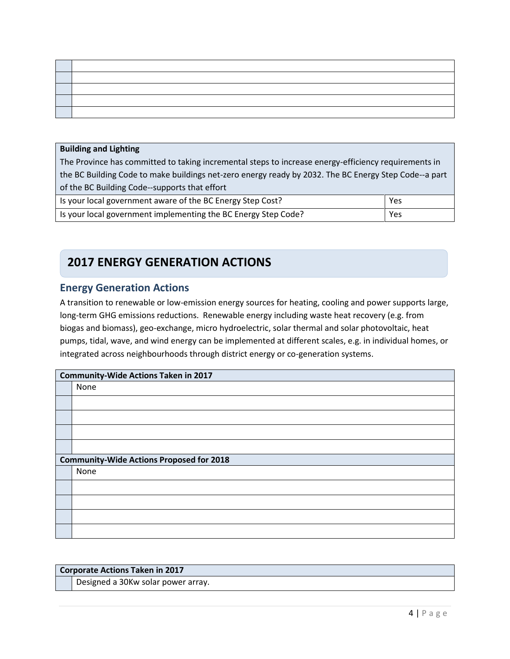#### **Building and Lighting**

The Province has committed to taking incremental steps to increase energy-efficiency requirements in the BC Building Code to make buildings net-zero energy ready by 2032. The BC Energy Step Code--a part of the BC Building Code--supports that effort

| Is your local government aware of the BC Energy Step Cost?     | Yes |
|----------------------------------------------------------------|-----|
| Is your local government implementing the BC Energy Step Code? | Yes |

## **2017 ENERGY GENERATION ACTIONS**

### **Energy Generation Actions**

A transition to renewable or low-emission energy sources for heating, cooling and power supports large, long-term GHG emissions reductions. Renewable energy including waste heat recovery (e.g. from biogas and biomass), geo-exchange, micro hydroelectric, solar thermal and solar photovoltaic, heat pumps, tidal, wave, and wind energy can be implemented at different scales, e.g. in individual homes, or integrated across neighbourhoods through district energy or co-generation systems.

| Community-Wide Actions Taken in 2017            |  |
|-------------------------------------------------|--|
| None                                            |  |
|                                                 |  |
|                                                 |  |
|                                                 |  |
|                                                 |  |
| <b>Community-Wide Actions Proposed for 2018</b> |  |
| None                                            |  |
|                                                 |  |
|                                                 |  |
|                                                 |  |
|                                                 |  |

#### **Corporate Actions Taken in 2017**

Designed a 30Kw solar power array.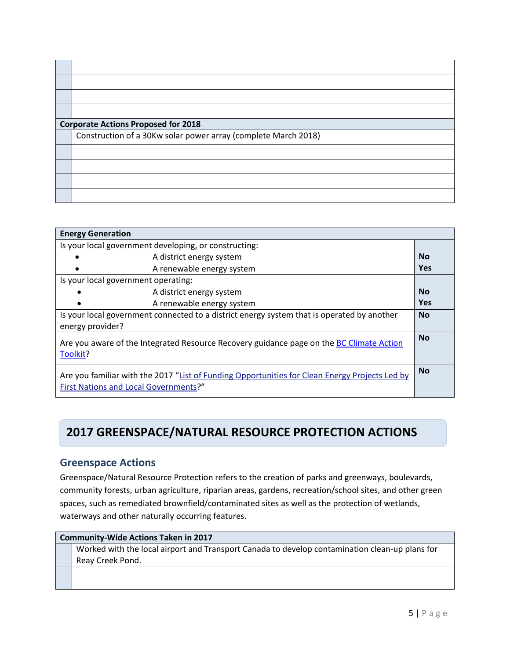| <b>Corporate Actions Proposed for 2018</b>                     |  |  |
|----------------------------------------------------------------|--|--|
| Construction of a 30Kw solar power array (complete March 2018) |  |  |
|                                                                |  |  |
|                                                                |  |  |
|                                                                |  |  |
|                                                                |  |  |

| <b>Energy Generation</b>                                                                                                                |            |
|-----------------------------------------------------------------------------------------------------------------------------------------|------------|
| Is your local government developing, or constructing:                                                                                   |            |
| A district energy system                                                                                                                | <b>No</b>  |
| A renewable energy system                                                                                                               | <b>Yes</b> |
| Is your local government operating:                                                                                                     |            |
| A district energy system                                                                                                                | <b>No</b>  |
| A renewable energy system                                                                                                               | <b>Yes</b> |
| Is your local government connected to a district energy system that is operated by another                                              | <b>No</b>  |
| energy provider?                                                                                                                        |            |
| Are you aware of the Integrated Resource Recovery guidance page on the BC Climate Action<br>Toolkit?                                    |            |
| Are you familiar with the 2017 "List of Funding Opportunities for Clean Energy Projects Led by<br>First Nations and Local Governments?" |            |

## **2017 GREENSPACE/NATURAL RESOURCE PROTECTION ACTIONS**

#### **Greenspace Actions**

Greenspace/Natural Resource Protection refers to the creation of parks and greenways, boulevards, community forests, urban agriculture, riparian areas, gardens, recreation/school sites, and other green spaces, such as remediated brownfield/contaminated sites as well as the protection of wetlands, waterways and other naturally occurring features.

#### **Community-Wide Actions Taken in 2017**

Worked with the local airport and Transport Canada to develop contamination clean-up plans for Reay Creek Pond.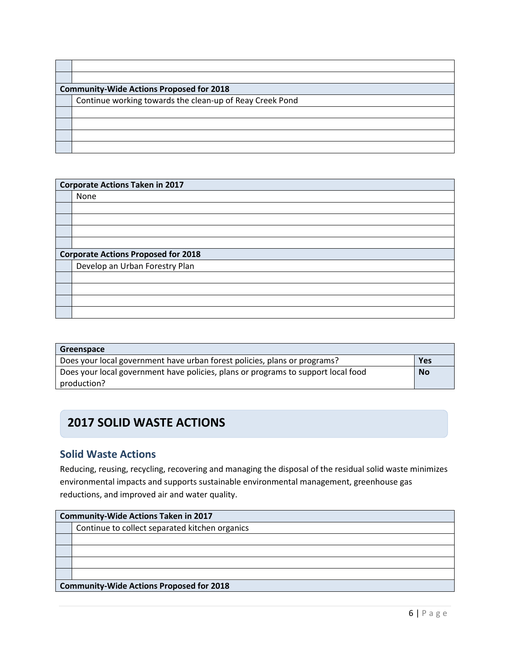| <b>Community-Wide Actions Proposed for 2018</b> |                                                          |
|-------------------------------------------------|----------------------------------------------------------|
|                                                 | Continue working towards the clean-up of Reay Creek Pond |
|                                                 |                                                          |
|                                                 |                                                          |
|                                                 |                                                          |
|                                                 |                                                          |

|                                            | <b>Corporate Actions Taken in 2017</b> |
|--------------------------------------------|----------------------------------------|
|                                            | None                                   |
|                                            |                                        |
|                                            |                                        |
|                                            |                                        |
|                                            |                                        |
| <b>Corporate Actions Proposed for 2018</b> |                                        |
|                                            | Develop an Urban Forestry Plan         |
|                                            |                                        |
|                                            |                                        |
|                                            |                                        |
|                                            |                                        |

| Greenspace                                                                        |           |
|-----------------------------------------------------------------------------------|-----------|
| Does your local government have urban forest policies, plans or programs?         | Yes       |
| Does your local government have policies, plans or programs to support local food | <b>No</b> |
| production?                                                                       |           |

## **2017 SOLID WASTE ACTIONS**

## **Solid Waste Actions**

Reducing, reusing, recycling, recovering and managing the disposal of the residual solid waste minimizes environmental impacts and supports sustainable environmental management, greenhouse gas reductions, and improved air and water quality.

| <b>Community-Wide Actions Taken in 2017</b>     |  |
|-------------------------------------------------|--|
| Continue to collect separated kitchen organics  |  |
|                                                 |  |
|                                                 |  |
|                                                 |  |
|                                                 |  |
| <b>Community-Wide Actions Proposed for 2018</b> |  |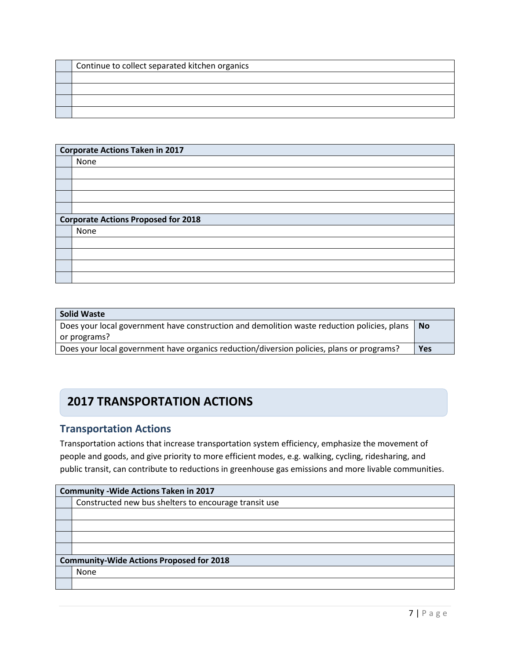| Continue to collect separated kitchen organics |
|------------------------------------------------|
|                                                |
|                                                |
|                                                |
|                                                |

| <b>Corporate Actions Taken in 2017</b>     |  |
|--------------------------------------------|--|
| None                                       |  |
|                                            |  |
|                                            |  |
|                                            |  |
|                                            |  |
| <b>Corporate Actions Proposed for 2018</b> |  |
| None                                       |  |
|                                            |  |
|                                            |  |
|                                            |  |
|                                            |  |

| <b>Solid Waste</b>                                                                                                     |     |
|------------------------------------------------------------------------------------------------------------------------|-----|
| Does your local government have construction and demolition waste reduction policies, plans $\vert$ No<br>or programs? |     |
| Does your local government have organics reduction/diversion policies, plans or programs?                              | Yes |

## **2017 TRANSPORTATION ACTIONS**

### **Transportation Actions**

Transportation actions that increase transportation system efficiency, emphasize the movement of people and goods, and give priority to more efficient modes, e.g. walking, cycling, ridesharing, and public transit, can contribute to reductions in greenhouse gas emissions and more livable communities.

|                                                 | <b>Community - Wide Actions Taken in 2017</b>         |  |
|-------------------------------------------------|-------------------------------------------------------|--|
|                                                 | Constructed new bus shelters to encourage transit use |  |
|                                                 |                                                       |  |
|                                                 |                                                       |  |
|                                                 |                                                       |  |
|                                                 |                                                       |  |
| <b>Community-Wide Actions Proposed for 2018</b> |                                                       |  |
|                                                 | None                                                  |  |
|                                                 |                                                       |  |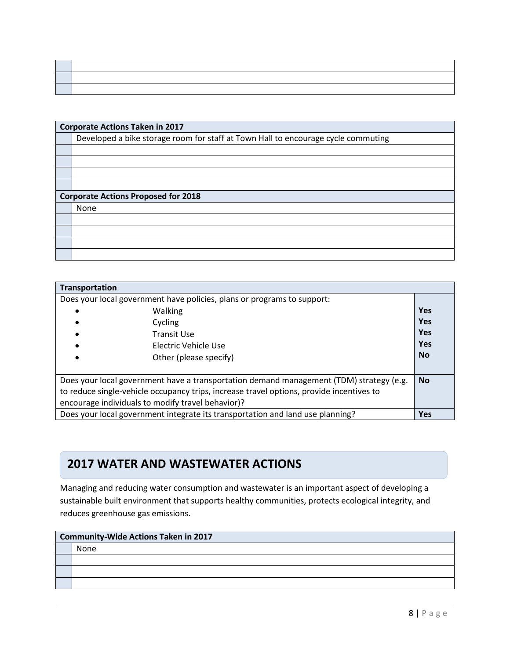| <b>Corporate Actions Taken in 2017</b>                                            |  |
|-----------------------------------------------------------------------------------|--|
|                                                                                   |  |
| Developed a bike storage room for staff at Town Hall to encourage cycle commuting |  |
|                                                                                   |  |
|                                                                                   |  |
|                                                                                   |  |
|                                                                                   |  |
| <b>Corporate Actions Proposed for 2018</b>                                        |  |
| None                                                                              |  |
|                                                                                   |  |
|                                                                                   |  |
|                                                                                   |  |
|                                                                                   |  |

| Transportation |                                                                                                                                                                                                                                          |            |
|----------------|------------------------------------------------------------------------------------------------------------------------------------------------------------------------------------------------------------------------------------------|------------|
|                | Does your local government have policies, plans or programs to support:                                                                                                                                                                  |            |
|                | <b>Walking</b>                                                                                                                                                                                                                           | Yes        |
|                | Cycling                                                                                                                                                                                                                                  | <b>Yes</b> |
|                | <b>Transit Use</b>                                                                                                                                                                                                                       | Yes        |
|                | Electric Vehicle Use                                                                                                                                                                                                                     | Yes        |
|                | Other (please specify)                                                                                                                                                                                                                   | <b>No</b>  |
|                | Does your local government have a transportation demand management (TDM) strategy (e.g.<br>to reduce single-vehicle occupancy trips, increase travel options, provide incentives to<br>encourage individuals to modify travel behavior)? | <b>No</b>  |
|                | Does your local government integrate its transportation and land use planning?                                                                                                                                                           | <b>Yes</b> |

#### **Water and Wastewater Actions 2017 WATER AND WASTEWATER ACTIONS**

Managing and reducing water consumption and wastewater is an important aspect of developing a sustainable built environment that supports healthy communities, protects ecological integrity, and reduces greenhouse gas emissions.

| <b>Community-Wide Actions Taken in 2017</b> |  |
|---------------------------------------------|--|
| None                                        |  |
|                                             |  |
|                                             |  |
|                                             |  |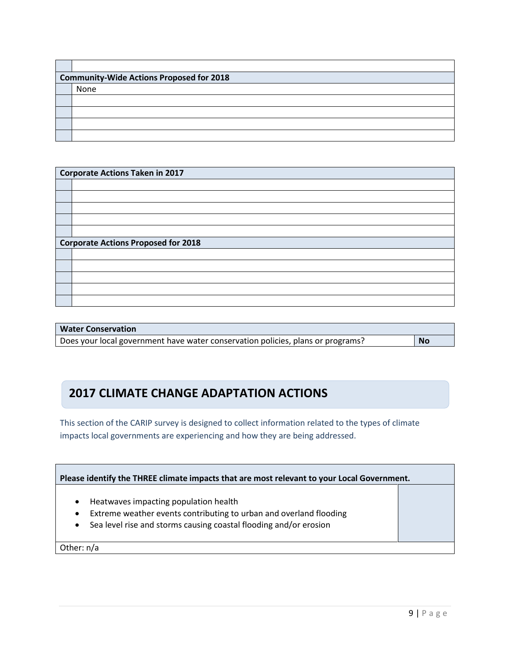| <b>Community-Wide Actions Proposed for 2018</b> |  |
|-------------------------------------------------|--|
| None                                            |  |
|                                                 |  |
|                                                 |  |
|                                                 |  |
|                                                 |  |

| <b>Corporate Actions Taken in 2017</b>     |  |  |
|--------------------------------------------|--|--|
|                                            |  |  |
|                                            |  |  |
|                                            |  |  |
|                                            |  |  |
|                                            |  |  |
|                                            |  |  |
| <b>Corporate Actions Proposed for 2018</b> |  |  |
|                                            |  |  |
|                                            |  |  |
|                                            |  |  |
|                                            |  |  |
|                                            |  |  |
|                                            |  |  |

| <b>Water Conservation</b>                                                       |           |
|---------------------------------------------------------------------------------|-----------|
| Does your local government have water conservation policies, plans or programs? | <b>No</b> |

## **2017 CLIMATE CHANGE ADAPTATION ACTIONS**

This section of the CARIP survey is designed to collect information related to the types of climate impacts local governments are experiencing and how they are being addressed.

| Please identify the THREE climate impacts that are most relevant to your Local Government.                                                                                                                              |  |  |
|-------------------------------------------------------------------------------------------------------------------------------------------------------------------------------------------------------------------------|--|--|
| Heatwaves impacting population health<br>$\bullet$<br>Extreme weather events contributing to urban and overland flooding<br>$\bullet$<br>Sea level rise and storms causing coastal flooding and/or erosion<br>$\bullet$ |  |  |
| Other: $n/a$                                                                                                                                                                                                            |  |  |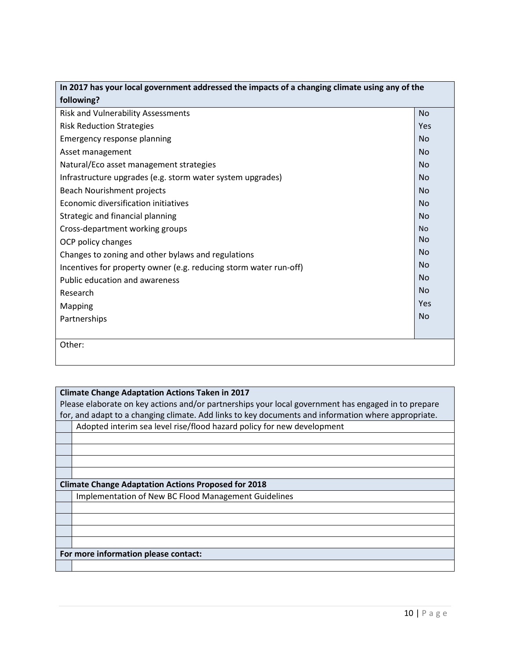| In 2017 has your local government addressed the impacts of a changing climate using any of the |           |  |
|------------------------------------------------------------------------------------------------|-----------|--|
| following?                                                                                     |           |  |
| <b>Risk and Vulnerability Assessments</b>                                                      | <b>No</b> |  |
| <b>Risk Reduction Strategies</b>                                                               | Yes       |  |
| Emergency response planning                                                                    | <b>No</b> |  |
| Asset management                                                                               | <b>No</b> |  |
| Natural/Eco asset management strategies                                                        | <b>No</b> |  |
| Infrastructure upgrades (e.g. storm water system upgrades)                                     | <b>No</b> |  |
| Beach Nourishment projects                                                                     | <b>No</b> |  |
| Economic diversification initiatives                                                           | <b>No</b> |  |
| Strategic and financial planning                                                               | <b>No</b> |  |
| Cross-department working groups                                                                | <b>No</b> |  |
| OCP policy changes                                                                             | <b>No</b> |  |
| Changes to zoning and other bylaws and regulations                                             | <b>No</b> |  |
| Incentives for property owner (e.g. reducing storm water run-off)                              | <b>No</b> |  |
| Public education and awareness                                                                 | No        |  |
| Research                                                                                       | <b>No</b> |  |
| Mapping                                                                                        | Yes       |  |
| Partnerships                                                                                   | <b>No</b> |  |
|                                                                                                |           |  |
| Other:                                                                                         |           |  |
|                                                                                                |           |  |

#### **Climate Change Adaptation Actions Taken in 2017**

Please elaborate on key actions and/or partnerships your local government has engaged in to prepare for, and adapt to a changing climate. Add links to key documents and information where appropriate.

Adopted interim sea level rise/flood hazard policy for new development

#### **Climate Change Adaptation Actions Proposed for 2018**

Implementation of New BC Flood Management Guidelines

#### **For more information please contact:**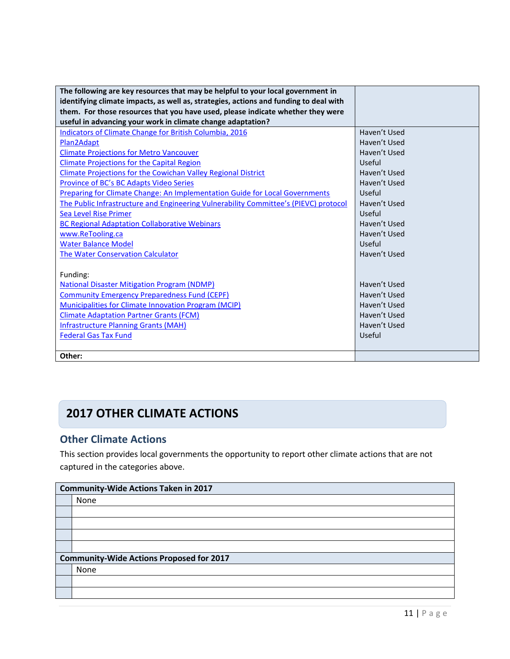| The following are key resources that may be helpful to your local government in<br>identifying climate impacts, as well as, strategies, actions and funding to deal with |              |
|--------------------------------------------------------------------------------------------------------------------------------------------------------------------------|--------------|
| them. For those resources that you have used, please indicate whether they were                                                                                          |              |
| useful in advancing your work in climate change adaptation?                                                                                                              |              |
| <b>Indicators of Climate Change for British Columbia, 2016</b>                                                                                                           | Haven't Used |
| Plan2Adapt                                                                                                                                                               | Haven't Used |
| <b>Climate Projections for Metro Vancouver</b>                                                                                                                           | Haven't Used |
| <b>Climate Projections for the Capital Region</b>                                                                                                                        | Useful       |
| Climate Projections for the Cowichan Valley Regional District                                                                                                            | Haven't Used |
| Province of BC's BC Adapts Video Series                                                                                                                                  | Haven't Used |
| Preparing for Climate Change: An Implementation Guide for Local Governments                                                                                              | Useful       |
| The Public Infrastructure and Engineering Vulnerability Committee's (PIEVC) protocol                                                                                     | Haven't Used |
| <b>Sea Level Rise Primer</b>                                                                                                                                             | Useful       |
| <b>BC Regional Adaptation Collaborative Webinars</b>                                                                                                                     | Haven't Used |
| www.ReTooling.ca                                                                                                                                                         | Haven't Used |
| <b>Water Balance Model</b>                                                                                                                                               | Useful       |
| The Water Conservation Calculator                                                                                                                                        | Haven't Used |
|                                                                                                                                                                          |              |
| Funding:                                                                                                                                                                 |              |
| <b>National Disaster Mitigation Program (NDMP)</b>                                                                                                                       | Haven't Used |
| <b>Community Emergency Preparedness Fund (CEPF)</b>                                                                                                                      | Haven't Used |
| Municipalities for Climate Innovation Program (MCIP)                                                                                                                     | Haven't Used |
| <b>Climate Adaptation Partner Grants (FCM)</b>                                                                                                                           | Haven't Used |
| <b>Infrastructure Planning Grants (MAH)</b>                                                                                                                              | Haven't Used |
| <b>Federal Gas Tax Fund</b>                                                                                                                                              | Useful       |
|                                                                                                                                                                          |              |
| Other:                                                                                                                                                                   |              |

## **2017 OTHER CLIMATE ACTIONS**

## **Other Climate Actions**

This section provides local governments the opportunity to report other climate actions that are not captured in the categories above.

| <b>Community-Wide Actions Taken in 2017</b>     |  |
|-------------------------------------------------|--|
| None                                            |  |
|                                                 |  |
|                                                 |  |
|                                                 |  |
|                                                 |  |
| <b>Community-Wide Actions Proposed for 2017</b> |  |
| None                                            |  |
|                                                 |  |
|                                                 |  |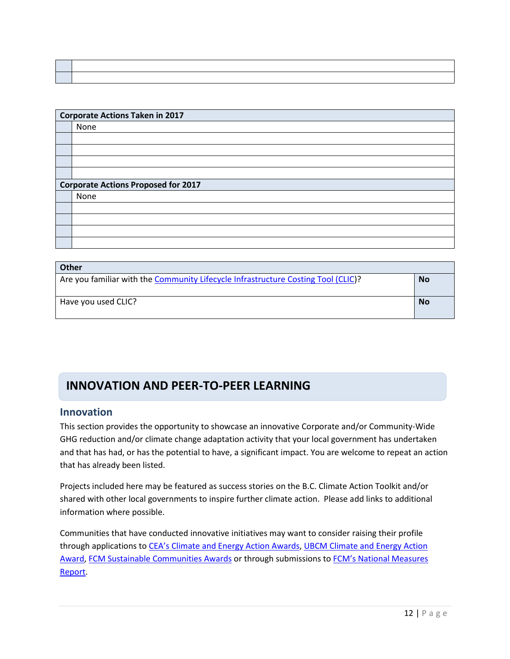| <b>Corporate Actions Taken in 2017</b>     |  |  |
|--------------------------------------------|--|--|
|                                            |  |  |
| None                                       |  |  |
|                                            |  |  |
|                                            |  |  |
|                                            |  |  |
|                                            |  |  |
| <b>Corporate Actions Proposed for 2017</b> |  |  |
| None                                       |  |  |
|                                            |  |  |
|                                            |  |  |
|                                            |  |  |
|                                            |  |  |

| <b>Other</b>                                                                      |           |
|-----------------------------------------------------------------------------------|-----------|
| Are you familiar with the Community Lifecycle Infrastructure Costing Tool (CLIC)? |           |
| Have you used CLIC?                                                               | <b>No</b> |

## **INNOVATION AND PEER-TO-PEER LEARNING**

### **Innovation**

This section provides the opportunity to showcase an innovative Corporate and/or Community-Wide GHG reduction and/or climate change adaptation activity that your local government has undertaken and that has had, or has the potential to have, a significant impact. You are welcome to repeat an action that has already been listed.

Projects included here may be featured as success stories on the B.C. Climate Action Toolkit and/or shared with other local governments to inspire further climate action. Please add links to additional information where possible.

Communities that have conducted innovative initiatives may want to consider raising their profile through applications to CEA's Climat[e and Energy Action Awards,](http://communityenergy.bc.ca/climate-and-energy-action-awards/) [UBCM Climate and Energy Action](http://www.ubcm.ca/EN/meta/news/news-archive/2016-archive/climate-and-energy-action-awards.html)  [Award,](http://www.ubcm.ca/EN/meta/news/news-archive/2016-archive/climate-and-energy-action-awards.html) [FCM Sustainable Communities Awards](https://fcm.ca/home/awards/sustainable-communities-awards.htm) or through submissions to [FCM's National Measures](https://fcm.ca/home/programs/partners-for-climate-protection/national-measures-report.htm)  [Report.](https://fcm.ca/home/programs/partners-for-climate-protection/national-measures-report.htm)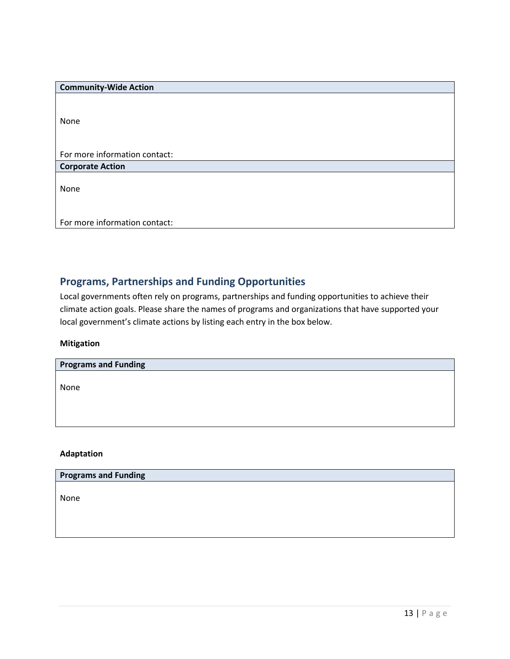| <b>Community-Wide Action</b>  |
|-------------------------------|
|                               |
|                               |
| None                          |
|                               |
|                               |
| For more information contact: |
| <b>Corporate Action</b>       |
|                               |
| None                          |
|                               |
|                               |
| For more information contact: |

### **Programs, Partnerships and Funding Opportunities**

Local governments often rely on programs, partnerships and funding opportunities to achieve their climate action goals. Please share the names of programs and organizations that have supported your local government's climate actions by listing each entry in the box below.

#### **Mitigation**

| <b>Programs and Funding</b> |  |
|-----------------------------|--|
| None                        |  |
|                             |  |

**Adaptation**

#### **Programs and Funding**

None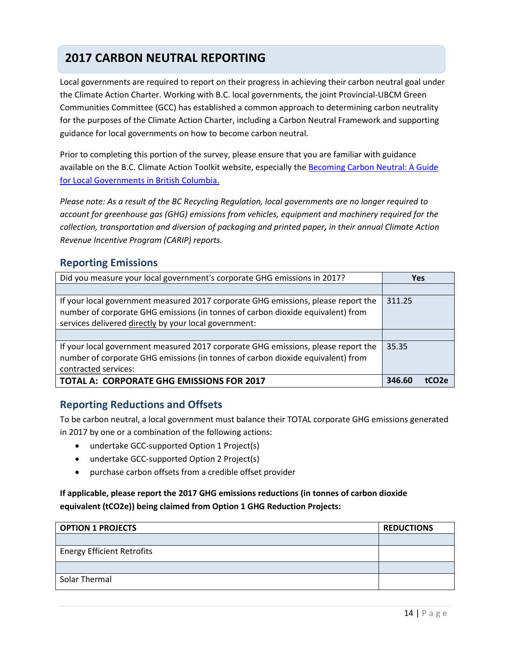## **2017 CARBON NEUTRAL REPORTING**

Local governments are required to report on their progress in achieving their carbon neutral goal under the Climate Action Charter. Working with B.C. local governments, the joint Provincial-UBCM Green Communities Committee (GCC) has established a common approach to determining carbon neutrality for the purposes of the Climate Action Charter, including a Carbon Neutral Framework and supporting guidance for local governments on how to become carbon neutral.

Prior to completing this portion of the survey, please ensure that you are familiar with guidance available on the B.C. Climate Action Toolkit website, especially the Becoming Carbon Neutral: A Guide [for Local Governments in British Columbia.](http://www.toolkit.bc.ca/sites/default/files/Becoming%20Carbon%20Neutral%20V3%20FINAL%20July%202014_0.pdf)

*Please note: As a result of the BC Recycling Regulation, local governments are no longer required to account for greenhouse gas (GHG) emissions from vehicles, equipment and machinery required for the collection, transportation and diversion of packaging and printed paper, in their annual Climate Action Revenue Incentive Program (CARIP) reports.*

### **Reporting Emissions**

| Did you measure your local government's corporate GHG emissions in 2017?          | <b>Yes</b> |       |
|-----------------------------------------------------------------------------------|------------|-------|
|                                                                                   |            |       |
| If your local government measured 2017 corporate GHG emissions, please report the | 311.25     |       |
| number of corporate GHG emissions (in tonnes of carbon dioxide equivalent) from   |            |       |
| services delivered directly by your local government:                             |            |       |
|                                                                                   |            |       |
| If your local government measured 2017 corporate GHG emissions, please report the | 35.35      |       |
| number of corporate GHG emissions (in tonnes of carbon dioxide equivalent) from   |            |       |
| contracted services:                                                              |            |       |
| <b>TOTAL A: CORPORATE GHG EMISSIONS FOR 2017</b>                                  | 346.60     | tCO2e |

#### **Reporting Reductions and Offsets**

To be carbon neutral, a local government must balance their TOTAL corporate GHG emissions generated in 2017 by one or a combination of the following actions:

- undertake GCC-supported Option 1 Project(s)
- undertake GCC-supported Option 2 Project(s)
- purchase carbon offsets from a credible offset provider

#### **If applicable, please report the 2017 GHG emissions reductions (in tonnes of carbon dioxide equivalent (tCO2e)) being claimed from Option 1 GHG Reduction Projects:**

| <b>OPTION 1 PROJECTS</b>          | <b>REDUCTIONS</b> |
|-----------------------------------|-------------------|
|                                   |                   |
| <b>Energy Efficient Retrofits</b> |                   |
|                                   |                   |
| Solar Thermal                     |                   |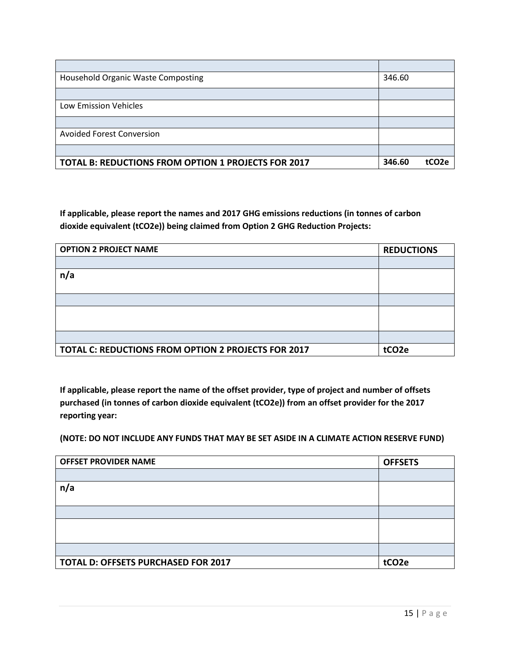| <b>Household Organic Waste Composting</b>                  | 346.60 |                   |
|------------------------------------------------------------|--------|-------------------|
|                                                            |        |                   |
| Low Emission Vehicles                                      |        |                   |
|                                                            |        |                   |
| <b>Avoided Forest Conversion</b>                           |        |                   |
|                                                            |        |                   |
| <b>TOTAL B: REDUCTIONS FROM OPTION 1 PROJECTS FOR 2017</b> | 346.60 | tCO <sub>2e</sub> |

**If applicable, please report the names and 2017 GHG emissions reductions (in tonnes of carbon dioxide equivalent (tCO2e)) being claimed from Option 2 GHG Reduction Projects:**

| <b>OPTION 2 PROJECT NAME</b>                        | <b>REDUCTIONS</b> |
|-----------------------------------------------------|-------------------|
|                                                     |                   |
| n/a                                                 |                   |
|                                                     |                   |
|                                                     |                   |
|                                                     |                   |
|                                                     |                   |
|                                                     |                   |
| TOTAL C: REDUCTIONS FROM OPTION 2 PROJECTS FOR 2017 | tCO <sub>2e</sub> |

**If applicable, please report the name of the offset provider, type of project and number of offsets purchased (in tonnes of carbon dioxide equivalent (tCO2e)) from an offset provider for the 2017 reporting year:**

**(NOTE: DO NOT INCLUDE ANY FUNDS THAT MAY BE SET ASIDE IN A CLIMATE ACTION RESERVE FUND)**

| <b>OFFSET PROVIDER NAME</b>         | <b>OFFSETS</b>    |
|-------------------------------------|-------------------|
|                                     |                   |
| n/a                                 |                   |
|                                     |                   |
|                                     |                   |
|                                     |                   |
|                                     |                   |
|                                     |                   |
| TOTAL D: OFFSETS PURCHASED FOR 2017 | tCO <sub>2e</sub> |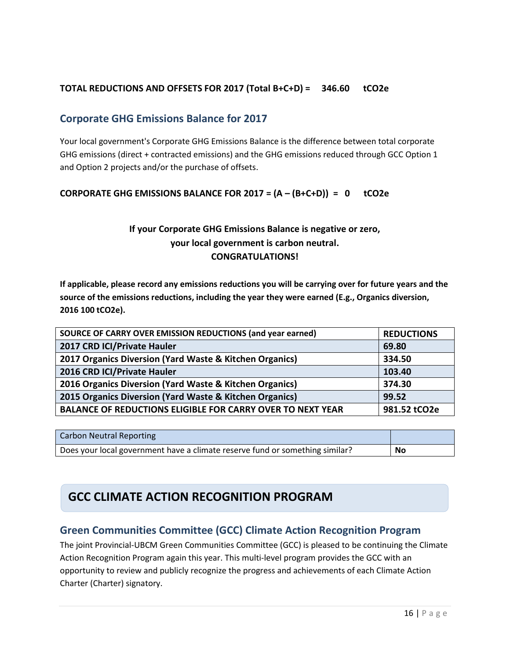### **TOTAL REDUCTIONS AND OFFSETS FOR 2017 (Total B+C+D) = 346.60 tCO2e**

### **Corporate GHG Emissions Balance for 2017**

Your local government's Corporate GHG Emissions Balance is the difference between total corporate GHG emissions (direct + contracted emissions) and the GHG emissions reduced through GCC Option 1 and Option 2 projects and/or the purchase of offsets.

#### **CORPORATE GHG EMISSIONS BALANCE FOR 2017 = (A – (B+C+D)) = 0 tCO2e**

### **If your Corporate GHG Emissions Balance is negative or zero, your local government is carbon neutral. CONGRATULATIONS!**

**If applicable, please record any emissions reductions you will be carrying over for future years and the source of the emissions reductions, including the year they were earned (E.g., Organics diversion, 2016 100 tCO2e).** 

| SOURCE OF CARRY OVER EMISSION REDUCTIONS (and year earned)        | <b>REDUCTIONS</b> |
|-------------------------------------------------------------------|-------------------|
| 2017 CRD ICI/Private Hauler                                       | 69.80             |
| 2017 Organics Diversion (Yard Waste & Kitchen Organics)           | 334.50            |
| 2016 CRD ICI/Private Hauler                                       | 103.40            |
| 2016 Organics Diversion (Yard Waste & Kitchen Organics)           | 374.30            |
| 2015 Organics Diversion (Yard Waste & Kitchen Organics)           | 99.52             |
| <b>BALANCE OF REDUCTIONS ELIGIBLE FOR CARRY OVER TO NEXT YEAR</b> | 981.52 tCO2e      |
|                                                                   |                   |

| <b>Carbon Neutral Reporting</b>                                              |    |
|------------------------------------------------------------------------------|----|
| Does your local government have a climate reserve fund or something similar? | No |

## **GCC CLIMATE ACTION RECOGNITION PROGRAM**

### **Green Communities Committee (GCC) Climate Action Recognition Program**

The joint Provincial-UBCM Green Communities Committee (GCC) is pleased to be continuing the Climate Action Recognition Program again this year. This multi-level program provides the GCC with an opportunity to review and publicly recognize the progress and achievements of each Climate Action Charter (Charter) signatory.